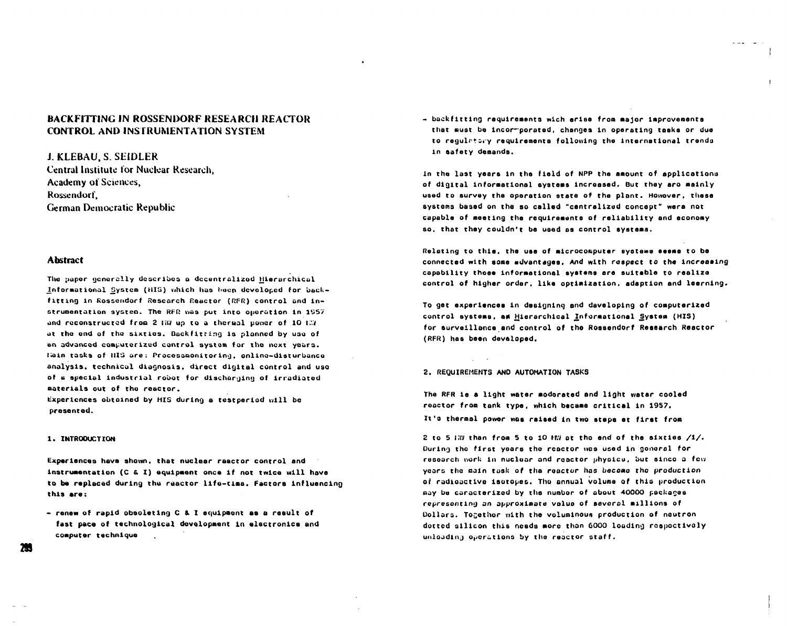# **BACKFITTING IN ROSSENDORF RESEARCH REACTOR CONTROL AND INSTRUMENTATION SYSTEM**

**J. KLEBAU, S. SEIDLER** Central Institute for Nuclear Research. Academy of Sciences, Rossendorf. **German Democratic Republic** 

## **Abstract**

The paper generally describes a decentralized Hierarchical Informational System (HIS) which has been developed for backfitting in Rossendorf Research Reactor (RFR) control and instrumentation system. The RFR was put into operation in 1957 and reconstructed from 2 HW up to a thermal power of 10 HW at the end of the sixties. Backfitting is planned by uso of an advanced computerized control system for the next years. Hain tasks of HIS are: Processmonitoring, online-disturbance analysis, technical diagnosis, direct digital control and use of a special industrial robot for discharging of irradiated materials out of the reactor.

Experiences obtained by HIS during a testperiod will be presented.

### 1. INTRODUCTION

Experiences have shown, that nuclear reactor control and instrumentation (C & I) equipment once if not twice will have to be replaced during the reactor life-time. Factors influencing this are:

- renew of rapid obsoleting C & I equipment as a result of fast pace of technological development in electronics and computer technique

- backfitting requirements wich arise from major improvements that must be incormporated, changes in operating tasks or due to regulatory requirements following the international trends in safety demands.

In the last years in the field of NPP the amount of applications of digital informational systems increased. But they are mainly used to survey the operation state of the plant. Howover, these systems based on the so called "centralized concept" were not capable of meeting the requirements of reliability and economy so, that they couldn't be used as control systems.

Relating to this, the use of microcomputer systems seeme to be connected with some advantages. And with respect to the increasing capability those informational systems are suitable to realize control of higher order. like optimization, adaption and learning.

To get experiences in designing and daveloping of computerized control systems, ad Hierarchical Informational System (HIS) for surveillance and control of the Rossendorf Research Reactor (RFR) has been devaloped.

#### 2. REQUIREMENTS AND AUTOMATION TASKS

The RFR is a light water moderated and light water cooled reactor from tank type, which became critical in 1957. It's thermal power was raised in two steps et first from

2 to 5 HW than from 5 to 10 HW at the end of the sixties /1/. During the first years the reactor was used in general for research work in nuclear and reactor physics, but since a few years the main task of the reactor has become the production of radioactive isotopes. The annual volume of this production may be caracterized by the numbor of about 40000 packages representing an approximate value of several millions of Dollars. Togethor with the voluminous production of neutron dotted silicon this needs more than 6000 loading respectively unloading operations by the reactor staff.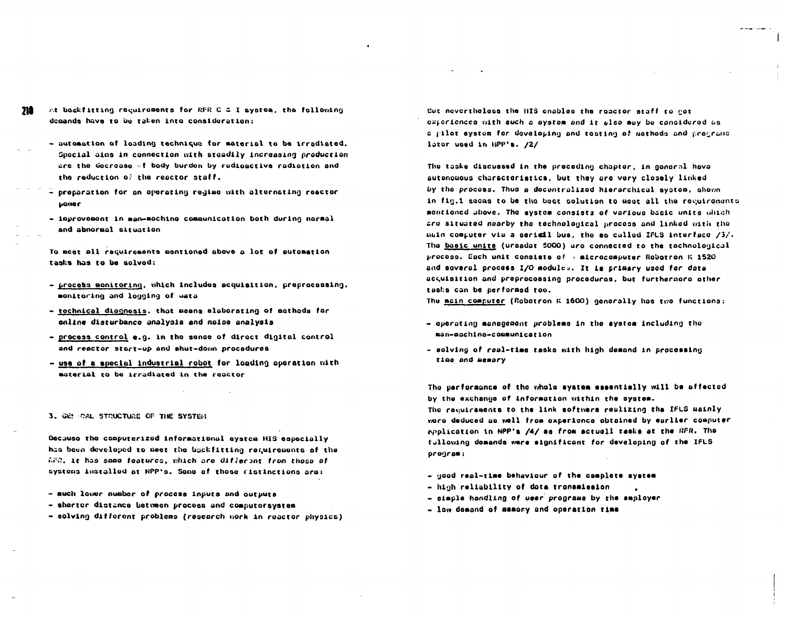- At backfitting recuirements for RFR C & I system, the following m demands have to be taken into consideration:
	- automation of loading technique for material to be irradiated. Special ains in connection with steadily increasing production are the decrease of body burden by radioactive radiation and the reduction of the reactor staff.
	- $\bar{=}$  preparation for an operating regime with alternating reactor **LOWER**
	- inprovement in man-machine communication both during narmal and abnormal situation

To meet all recuirements pentioned above a lot of sutomation tasks has to be solved:

- process monitoring, which includes acquisition, preprocessing, monitoring and logging of wata
- technical diognosis, that means elaborating of mothods for online disturbance analysis and noise analysis
- process control e.g. in the sense of direct digital control and reactor start-up and shut-down procedures
- use of a special industrial robot for loading operation with material to be irradiated in the reactor

3. GENERAL STRUCTURE OF THE SYSTEM

Because the computerized informational system HIS especially has been developed to meet the backfitting requirements of the APR, it has some features, which are different from those of systems installed at NPP's. Some of those distinctions are:

- much lower number of process inputs and outputs
- shorter distance between process and computersystem
- solving different problems (research work in reactor physics)

But nevertheless the HIS enables the reactor staff to not experiences with such a system and it also may be considered as a pilot system for developing and teating of mathods and programs lator used in HPP's. /2/

The tasks discussed in the preceding chapter, in gonoral hove autonouous charactoristics, but they are very closely linked by the process. Thus a decentralized hierarchical system, shewn in fig.1 secas to be the best solution to meat all the recuirements mentioned above. The system consists of various basic units which are situated nearby the technological process and linked with the main computer via a serigil bus, the so called IFLS interface /3/. The basic units (ursadat 5000) are connected to the tochnological process. Each unit consists of a microcomputer Rebetron K 1520 and several process I/O modules. It is primary used for data acquisition and preprocessing procedures, but furthermore ether tasks can be performed too.

The main computer (Roberron K 1600) generally has two functions:

- queration management problems in the system including the man-machine-communication
- solving of real-time tasks with high demand in processing time and memory

The performance of the whole system essentially will be uffected by the exchange of information within the system. The requirements to the link softwars reulizing the IFLS mainly wore deduced as well from experience abtained by earlier computer application in NPP's /4/ ss from actuall tasks at the RFR. The fullowing demands were significant for developing of the IFLS program:

- good real-time behaviour of the complete system
- high reliability of dota transmission
- simple handling of user programs by the employer
- low demand of mamory and operation time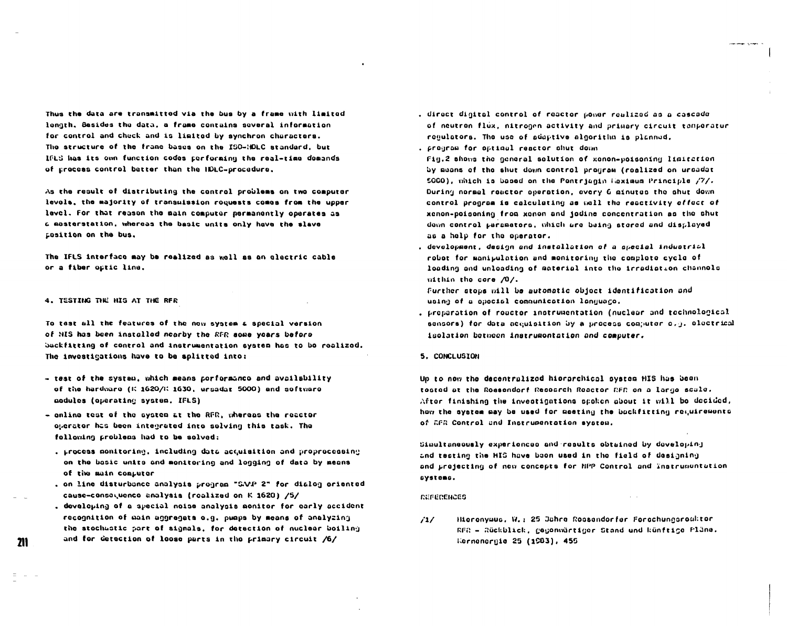Thus the data are transmitted via the bus by a frame with limited longth, Besides the data, a frame contains several information for control and check and is limited by synchron characters. The structure of the frame bases on the ISO-HOLC standard, but IFLS has its own function codes performing the real-time domands of process control better than the IDLC-procedure.

As the result of distributing the control problems on two computer levols, the majority of transmission roquests comes from the upper lavel. For that reason the main computer permanently operates as a mosterstation, whereas the basic units only have the slave position on the bus.

The IFLS interface may be realized as well as an electric cable or a fiber optic line.

#### 4. TESTING THE HIS AT THE RFR

21 I

To test all the features of the now system a special version of HIS has been installed nearby the RFR some years before backfitting of control and instrumentation system has to be realized. The investigations have to be splitted into:

- test of the system, which means porformanco and availability of the hardware (K 1620/K 1630, ursadat 5000) and software aodulos (operating system. IFLS)
- online test of the system at the RFR, whereas the reactor operator has been integrated into solving this task. The following problems had to be solved:
	- . Process monitoring, including data acquisition and proprocessing on the basic units and monitoring and logging of data by means of the main computer
	- , on line disturbance analysis program "SAAP 2" for dialog oriented cause-consequence analysis (realized on K 1620) /5/
	- . developing of a special noise analysis monitor for early accident recognition of main aggregats o.g. pumps by means of analyzing the stochastic part of signals, for detection of nuclear boiling and for detection of loose parts in the primary circuit /6/
- . direct digital control of reactor power realized as a cascade of neutron flux, nitrogen activity and primary circuit temperatur regulators. The use of adaptive algoriths is planned.
- . program for optimal reactor shut down
- Fig.2 shows the general solution of xonon-poisoning limitation by muons of the shut down control program (realized on urbadot 5000), which is based on the Pontrjagin Haximum Principle /7/. During normal reactor operation, every 6 minutes the shut down control program is calculating as wall the reactivity offect of xenon-poisoning from xonon and jodine concentration as the shut down control parametors, which are being stored and displayed as a help for the operator.
- , development, design and installation of a special industrial robet for manipulation and monitoring the complete cycle of loading and unloading of material into the irradiation channels within the core /0/.

Further stops will be automatic object identification and using of a special communication language.

- . proparation of rouctor instrumentation (nuclear and technological sensors) for data acquisition by a process computer o.g. olectrical isolation between instrumentation and computer.
- 5. CONCLUSION

Un to now the decentralized hierarchical system HIS has been toated at the Rossendorf Resoarch Reactor RFR on a large scale. After finishing the investigations scaken about it will be decided, how the system may be used for meeting the bookfitting requirements of GFR Control and Instrumentation system.

Simultaneously experienced and results obtained by doveloping and testing the HIS have been used in the field of designing and projecting of new concepts for HPP Control and Instrumentation systems.

 $\sim 10^{-1}$ 

*REFERENCES* 

 $/1/$ Hierenyaus, W.: 25 Jahre Ressenderfor Ferechungsreaktor RFR - Rückblick, gegonwärtiger Stand und künftige Fläne. Kernenernie 25 (1983), 455